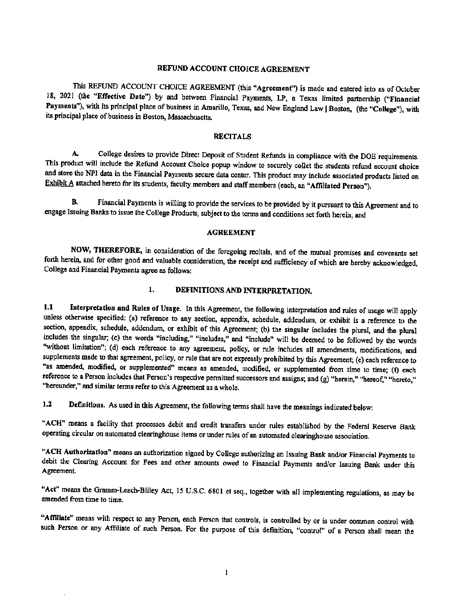#### REFUND ACCOUNT CHOICE AGREEMENT

This REFUND ACCOUNT CHOICE AGREEMENT (this "Agreement") is made and entered into as of October 18, 2021 (the "Effective Date") by and between Financial Payments, LP, a Texas limited partnership ("Financial Payments"), with its principal place of business in Amarillo, Texas, and New England Law | Boston, (the "College"), with its principal place of business in Boston, Massachusetts.

#### **RECITALS**

A. College desires to provide Direct Deposit of Student Refunds in compliance with the DOE requirements, This product will include the Refund Account Choice popup window to securely collet the students refund account choice and store the NPI data in the Financial Payments secure data center. This product may include associated products listed on Exhibit A attached hereto for its students, faculty members and staff members (each, an "Affiliated Person").

B. Financial Payments is willing to provide the services to be provided by it pursuant to this Agreement and to engage Issuing Banks to issue the College Products, subject to the terms and conditions set forth herein; and

#### AGREEMENT

NOW, THEREFORE, in consideration of the foregoing recitals, and of the mutual promises and covenants set forth herein, and for other good and valuable consideration, the receipt and sufficiency of which are hereby acknowledged, College and Financial Payments agree as follows:

# 1. DEFINITIONS AND INTERPRETATION.

1.1 Interpretation and Rules of Usage. In this Agreement, the following interpretation and rules of usage will apply unless otherwise specified: (a) reference to any section, appendix, schedule, addendum, or exhibit is a reference to the section, appendix, schedule, addendum, or exhibit of this Agreement; (b) the singular includes the plural, and the plural includes the singular; (c) the words "including," "includes," and "include" will be deemed to be followed by the words ''without limitation"; (d) each reference to any agreement, policy, or rule includes all amendments, modifications, and supplements made to that agreement, policy, or rule that are not expressly prohibited by this Agreement; (e) each reference to "as amended, modified, or supplemented" means as amended, modified, or supplemented from time to time; (f) each reference to a Person includes that Person's respective permitted successors and assigns; and (g) "herein," "hereof," "hereto," "hereunder," and similar terms refer to this Agreement as a whole.

1.2 Definitions. As used in this Agreement, the following terms shall have the meanings indicated below:

"ACH" means a facility that processes debit and credit transfers under rules established by the Federal Reserve Bank operating circular on automated clearinghouse items or under rules of an automated clearinghouse association.

"ACH Authorization" means an authorization signed by College authorizing an Issuing Bank and/or Financial Payments to debit the Clearing Account for Fees and other amounts owed to Financial Payments and/or Issuing Bank under this Agreement

"Act" means the Gramm-Leach-Bliley Act, 15 U.S.C. 6801 et seq., together with all implementing regulations, as may be amended from time to time.

"Affiliate" means with respect to any Person, each Person that controls, is controlled by or is under common oontrol with such Person or any Affiliate of such Person. For the purpose of this definition, "control" of a Person shall mean the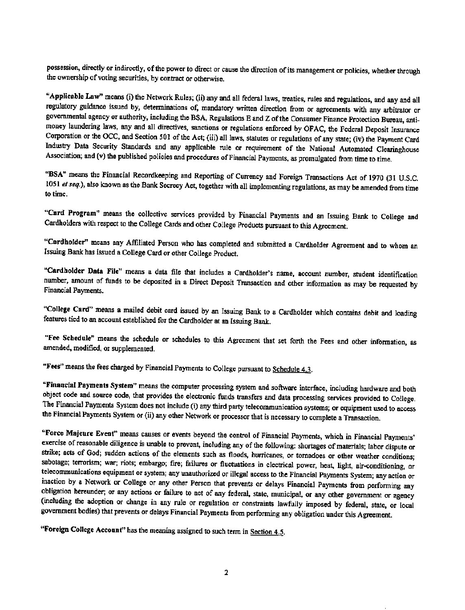possession, directly or indirectly, of the power to direct or cause the direction of its management or policies, whether through the ownership of voting securities, by contract or otherwise.

"Applicable Law" means (i) the Network Rules; (ii) any and all federal laws, treaties, rules and regulations, and any and all regulatory guidance issued by, determinations of, mandatory written direction from or agreements with any arbitrator or governmental agency or authority, including the BSA, Regulations E and Z of the Consumer Finance Protection Bureau, antimoney laundering laws, any and all directives, sanctions or regulations enforced by OFAC, the Federal Deposit Insurance Corporation or the OCC, and Section 501 of the Act; (iii) all laws, statutes or regulations of any state; (iv) the Payment Card Industry Data Security Standards and any applicable rule or requirement of the National Automated Clearinghouse Association; and (v) the published policies and procedures of Financial Payments, as promulgated from time to time.

"BSA" means the Financial Recordkeeping and Reporting of Currency and Foreign Transactions Act of 1970 (31 U.S.C. 1051 *et seq.*), also known as the Bank Secrecy Act, together with all implementing regulations, as may be amended from time to time.

"Card Program" means the collective services provided by Financial Payments and an Issuing Bank to College and Cardholders with respect to the College Cards and other College Products pursuant to this Agreement.

"Cardholder" means any Affiliated Person who has completed and submitted a Cardholder Agreement and to whom an Issuing Bank has issued a College Card or other College Product.

"Cardbolder Data File" means a data file that includes a Cardholder's name, account number, student identification number, amount of funds to be deposited in a Direct Deposit Transaction and other information as may be requested by Financial Payments.

"College Card" means a mailed debit card issued by an Issuing Bank to a Cardholder which contains debit and loading features tied to an account established for the Cardholder at an Issuing Bank.

"Fee Schedule" means the schedule or schedules to this Agreement that set forth the Fees and other information, as amended, modified, or supplemented.

"Fees" means the fees charged by Financial Payments to College pursuant to Schedule 4.3.

"Financial Payments System" means the computer processing system and software interface, including hardware and both object code and source code, that provides the electronic funds transfers and data processing services provided to College, The Financial Payments System does not include (i) any third party telecommunication systems; or equipment used to access the Financial Payments System or (ii) any other Network or processor that is necossary to complete a Transaction.

"Force Majeure Event" means causes or events beyond the control of Financial Payments, which in Financial Payments' exercise of reasonable diligence is unable to prevent, including any of the following: shortages of materials; labor dispute or strike; acts of God; sudden actions of the elements such as floods, hurricanes, or tornadoes or other weather conditions; sabotage; terrorism; war; riots; embargo; fire; failures or fluctuations in electrical power, heat, light, air-conditioning, or telecommunications equipment or system; any unauthorized or illegal access to the Financial Payments System; any action or inaction by a Network or College or any other Person that prevents or delays Financial Payments from performing any obligation hereunder; or any actions or failure to act of any federal, state, municipal, or any other government or agency (including the adoption or change in any rule or regulation or constraints lawfully imposed by federal, state, or local government bodies) that prevents or delays Financial Payments from performing any obligation under this Agreement

"Foreign College Account" has the meaning assigned to such term in Section 4.5.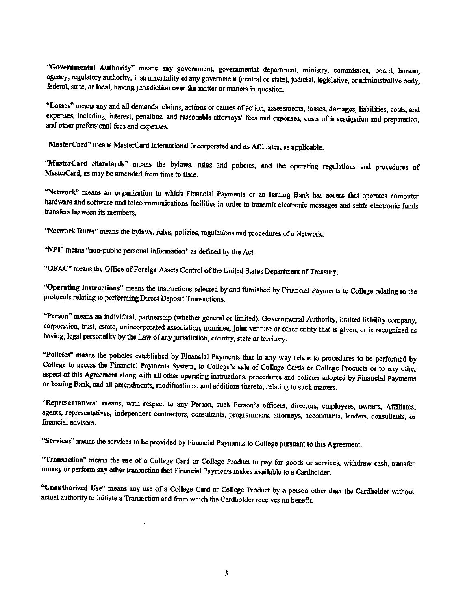"Governmental Authority" means any government, governmental department, ministry, commission, board, bureau, agency, regulatory authority, instrumentality of any government (central or state), judicial, legislative, or administrative body, federal, state, or local, having jurisdiction over the matter or matters in question.

"Losses" means any and all demands, claims, actions or causes of action, assessments, losses, damages, liabilities, costs, and expenses, including, interest, penalties, and reasonable attorneys' fees and expenses, costs of investigation and preparation, and other professional fees and expenses.

"MasterCard" means MasterCard International Incorporated and ils Affiliates, as applicable.

''MasterCard Standards" means the bylaws, rules and policies, and the operating regulations and procedures of MasterCard, as may be amended from time to time.

"Network" means an organization to which Financial Payments or an Issuing Bank has access that operates computer hardware and software and telecommunications facilities in order to transmit electronic messages and settle electronic funds transfers between its members.

"Network Rules" means the bylaws, rules, policies, regulations and procedures of a Network.

"NPI" means "non-public personal information" as defined by the Act.

"OFAC' means the Office of Foreign Assets Control of the United States Department of Treasury.

''Operating Instructions" means the instructions selected by and furnished by Financial Payments to College relating to the protocols relating to perfonning Direct Deposit Transactions.

"Person" means an individual, partnership (whether general or limited), Governmental Authority, limited liability company, corporation, trust, estate, unincorporated association, nominee, joint venture or other entity that is given, or is recognized as having, legal personality by the Law of any jurisdiction, country, state or territory.

"Policies" means the policies established by Financial Payments that in any way relate to procedures to be performed by College to access the Financial Payments System, to College's sale of College Cards or College Products or to any other aspect of this Agreement along with all other operating instructions, procedures and policies adopted by Financial Payments or Issuing Bank, and all amendments, modifications, and additions thereto, relating to such matters.

"Representatives" means, with respect to any Person. such Person's officers, directors, employees, owners, Affiliates, agents. representatives, independent contractors, consultants, programmers, attorneys, accountants, lenders, consultants, or financial advisors.

"Services" means the services to be provided by Financial Payments to College pursuant to this Agreement.

"Transaction" means the use of a College Card or College Product to pay for goods or services, withdraw cash, transfer money or perfonn any other transaction that Financial Payments makes available to a Cardholder.

"Unanthorized Use" means any use of a College Card or College Product by a person other than the Cardholder without actual authority to initiate a Transaction and from which the Cardholder receives no benefit.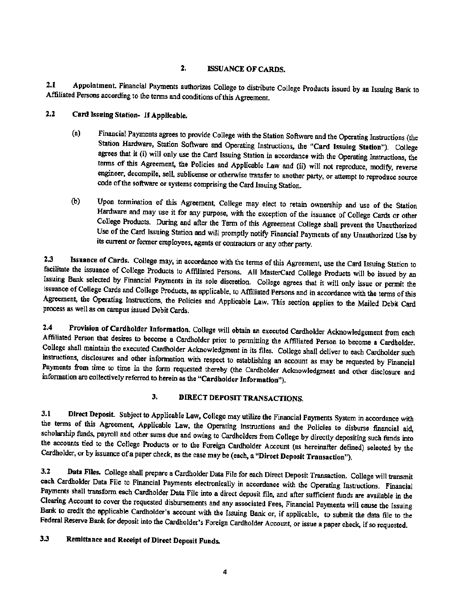#### 2. ISSUANCE OF CARDS.

2.1 Appointment Financial Payments authorizes College to distribute College Products issued by an Issuing Bank to Affiliated Persons according to the terms and conditions of this Agreement.

- 2.2 Card Issuing Station- If Applicable.
	- (a) Financial Payments agrees to provide College with the Station Software and the Operating Instructions (the Station Hardware, Station Software and Operating Instructions. the "Card Issuing Station"). College agrees that it (i) will only use the Card Issuing Station in accordance with the Operating Instructions, the tenns of this Agreement, the Policies and Applicable Law and (ii) will not reproduce, modify, reverse engineer, decompile, selL sublicense or otherwise transfer to another party, or attempt to reproduce source code of the software or systems comprising the Card Issuing Station.
	- (b) Upon tennination of this Agreement, College may elect to retain ownership and use of the Station Hardware and may use it for any purpose, with the exception of the issuance of College Cards or other College Products. During and after the Term of this Agreement College shall prevent the Unauthorized Use of the Card Issuing Station and will promptly notify Financial Payments of any Unauthorized Use by its current or former employees, agents or contractors or any other party.

2.3 Issuance of Cards. College may, in accordance with the terms of this Agreement, use the Card Issuing Station to facilitate the issuance of College Products to Affiliated Persons. All MasterCard College Products will be issued by an Issuing Bank selected by Financial Payments in its sole discretion. College agrees that it will only issue or pennit the issuance of College Cards and College Products, as applicable, to Affiliated Persons and in accordance with the terms of this Agreement, the Operating Instructions, the Policies and Applicable Law. This section applies to the Mailed Debit Card process as well as on campus issued Debit Cards.

2.4 Provision of Cardholder Information. College will obtain an executed Cardholder Acknowledgement from each Affiliated Person that desires to become a Cardholder prior to permitting the Affiliated Person to become a Cardholder. College shall maintain the executed Cardholder Acknowledgment in its files. College shall deliver to each Cardholder such instructions, disclosures and other infonnation with respect to establishing an account as may be requested by Financial Payments from time to time in the fonn requested thereby (the Cardholder Acknowledgment and other disclosure and information are collectively referred to herein as the "Cardholder Information").

# 3. DIRECT DEPOSIT TRANSACTIONS.

3.1 Direct Deposit. Subject to Applicable Law, College may utilize the Financial Payments System in accordance with the tenns of this Agreement, Applicable Law, the Operating Instructions and the Policies to disburse financial aid, scholarship funds, payroll and other sums due and owing to Cardholders from College by directly depositing such funds into the accounts tied to the College Products or to the Foreign Cardholder Account (as hereinafter defined) selected by the Cardholder, or by issuance of a paper check, as the case may be (each, a "Direct Deposjt Transaction").

3.2 Data Files. College shall prepare a Cardholder Data File for each Direct Deposit Transaction. College will transmit each Cardholder Data File to Financial Payments electronically in accordance with the Operating Instructions. Financial Payments shall transfonn each Cardholder Data File into a direct deposit file, and after sufficient funds are available in the Clearing Account to cover the requested disbursements and any associated Fees, Financial Payments will cause the Issuing Bank to credit the applicable Cardholder's account with the Issuing Bank or, if applicable, to submit the data file to the Federal Reserve Bank for deposit into the Cardholder's Foreign Cardholder Account, or issue a paper check, if so requested.

# 3.3 Remittance and Receipt of Direct Deposit Funds.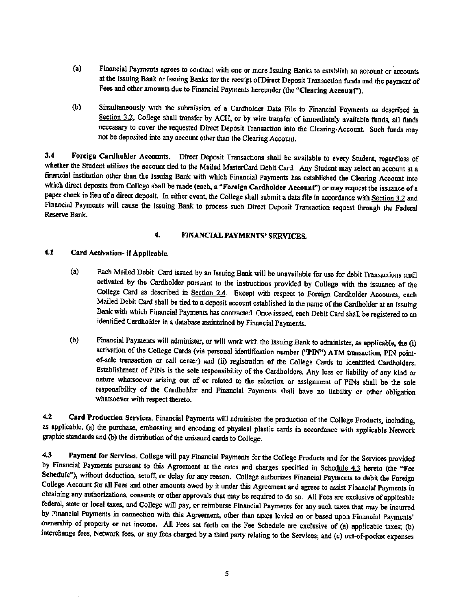- (a) Financial Payments agrees to contract with one or more Issuing Banks to establish an account or accounts at the Issuing Bank or Issuing Banks for the receipt of Direct Deposit Transaction funds and the payment of Fees and other amounts due to Financial Payments hereunder (the "Clearing Account").
- (b) Simultaneously with the submission of a Cardholder Data File to Financial Payments as described in Section 3.2, College shall transfer by ACH, or by wire transfer of immediately available funds, all funds necessary to cover the requested Direct Deposit Transaction into the Clearing, Account. Such funds may not be deposited into any account other than the Clearing Account.

3.4 Foreign Cardholder Accounts. Direct Deposit Transactions shall be available to every Student, regardless of whether the Student utilizes the account tied to the Mailed MasterCard Debit Card. Any Student may select an account at a financial institution other than the Issuing Bank with which Financial Payments has established the Clearing Account into which direct deposits from College shall be made (each, a "Foreign Cardholder Account") or may request the issuance of a paper check in lieu of a direct deposit. In either event. the College shall submit a data file in accordance with Section 3.2 and Financial Payments will cause the Issuing Bank to process such Direct Deposit Transaction request through the Federal Reserve Bank.

# 4. FINANCIAL PAYMENTS' SERVICES.

#### 4.1 Card Adivation- if Applicable.

- (a) Each Mailed Debit Card issued by an Issuing Bank will be unavailable for use for debit Transactions until activated by the Cardholder pursuant to the instructions provided by College with the issuance of the College Card as described in Section 2.4. Except with respect to Foreign Cardholder Accounts, each Mailed Debit Card shall be tied to 8 deposit account established in the name of the Cardholder at an Issuing Bank with which Financial Payments has contracted. Once issued, each Debit Card shall be registered to an identified Cardholder in a database maintained by Financial Payments.
- (b) Financial Payments will administer, or will work with the Issuing Bank to administer, as applicable, the (1) activation of the College Cards (via personal identification number ("PIN") ATM transaction, PIN point. of-sale transaction or call center) and (ii) registration of the College Cards to identified Cardholders. Establishment of PINs is the sole responsibility of the Cardholders. Any loss or liability of any kind or nature whatsoever arising out of or related to the selection or assignment of PINs shall be the sole responsibility of the Cardholder and Financial Payments shall have no liability or other obligation whatsoever with respect thereto.

4.2 Card Production Services. Financial Payments will administer the production of the College Products, including, as applicable, (a) the purchase, embossing and encoding of physical plastic cards in accordance with applicable Network graphic standards and (b) the distribution of the unissued cards to College.

4.3 Payment for Services. College will pay Financial Payments for the College Products and for the Services provided by Financial Payments pursuant to this Agreement at the rates and charges specified in Schedule 4.3 hereto (the "Fee Schedule"), without deduction, setoff, or delay for any reason. College authorizes Financial Payments to debit the Foreign College Account for all Fees and other amounts owed by it under this Agreement and agrees to assist Financial Payments in obtaining any authorizations, consents or other approvals that may be required to do so. All Fees are exclusive of applicable federal, state or local taxes, and College will pay, or reimburse Financial Payments for any such taxes that may be incurred by Financial Payments in connection with this Agreement, other than taxes levied on or based upon Financial Payments' ownership of property or net income. All Fees set forth on the Fee Schedule are exclusive of (a) applicable taxes; (b) interchange fees, Network fees, or any fees charged by a third party relating to the Services; and (c) out-of-pocket expenses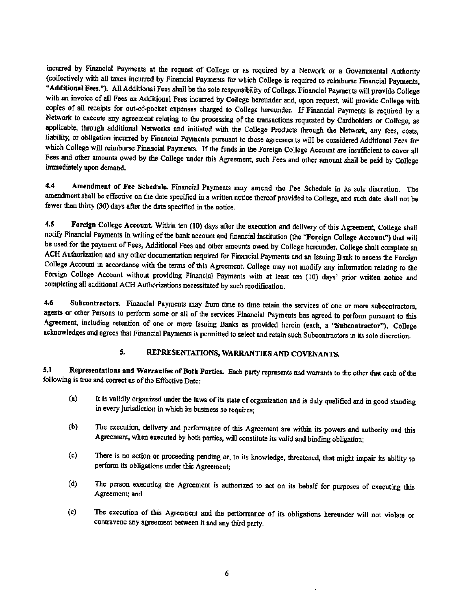incurred by Financial Payments at the request of CoIIege or as required by a Network or a Govennnental Authority (coUectively with all taxes incurred by Financial Payments for which CoUege is required to reimburse Fimmcial Payments, "Additional Fees."). All Additional Fees shall be the sole responsibility of College. Financial Payments will provide College with an invoice of all Fees an Additional Fees incurred by College hereunder and, upon request, will provide College with copies of all receipts for out-of-pocket expenses charged to CoUege hereunder. If Financial Payments is required by a Network to execute any agreement relating to the processing of the transactions requested by Cardholders or College, as applicable, through additional Networks and initiated with the College Products through the Network, any fees, costs, liability, or obligation incurred by Financial Payments pursuant to those agreements will be considered Additional Fees for which College will reimburse Financial Payments. If the funds in the Foreign College Account are insufficient to cover all Fees and other amounts owed by the College under this Agreement, such Fees and other amount shall be paid by College immediately upon demand.

4.4 Amendment of Fee Schedule. Financial Payments may amend the Fee Schedule in its sole discretion. The amendment shall be effective on the date specified in a written notice thereof provided to College, and such date shall not be fewer than thirty (30) days after the date specified in the notice.

4.5 Foreign College Account. Within ten (10) days after the execution and delivery of this Agreement, College shall notify Financial Payments in writing of the bank account and fmancial institution (the "Foreign College Account") that will be used for the payment of Fees, Additional Fees and other amounts owed by College hereunder. College shall complete an ACH Authorization and any other documentation required for Financial Payments and an Issuing Bank to access the Foreign College Account in accordance with the terms of this Agreement. College may oot modify any infonnatioo relating to the Foreign College Account without providing Financial Payments with at least ten (10) days' prior written notice and completing all additional ACH Authorizations necessitated by such modification.

4.6 Subcontractors. Financial Payments may from time to time retain the services of one or more subcontractors. agents or other Persons to perform some or all of the services Financial Payments has agreed to perform pursuant to this Agreement, including retention of one or more Issuing Banks as provided herein (each, a "Subcontractor"). College acknowledges and agrees that Financial Payments is permitted to select and retain such Subcontractors in its sole discretion.

## 5. REPRESENTATIONS, WARRANTIES AND COVENANTS.

5.1 Representations and Warranties of Both Parties. Each party represents and warrants to the other that each of the following is true and correct as of the Effective Date:

- (a) It is validly organized under the laws of its state of organization and is duly qualified and in good standing in every jurisdiction in which its business so requires;
- (b) The execution, delivery and perfonnance of this Agreement are within its powers and authority and this Agreement, when executed by both parties, will constitute its valid and binding obligation;
- (c) There is no action or proceeding pending or, to its knowledge, threatened, that might impair its ability to perform its obligations under this Agreement;
- (d) The person executing the Agreement is authorized to act on its behalf for purposes of executing this Agreement; and
- (e) The execution of this Agreement and the performance of its obligations hereunder will not violate or contravene any agreement between it and any third party.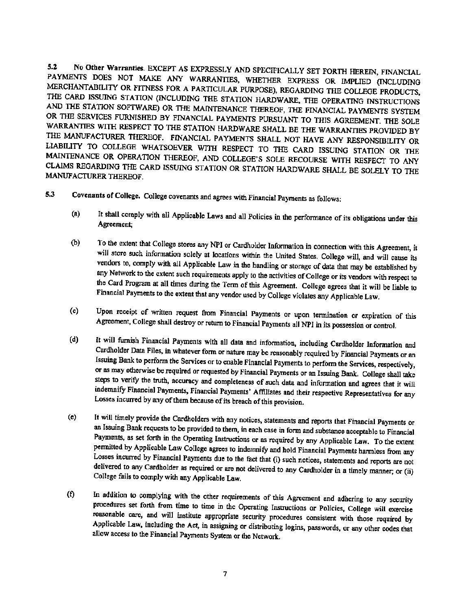5.1 No Other Warranties. EXCEPT AS EXPRESSLY AND SPECIFICALLY SEr FORTH HEREIN, FINANCIAL PAYMENTS DOES NOT MAKE ANY WARRANTIES, WHETHER EXPRESS OR IMPLIED (INCLUDING MERCHANTABILITY OR FITNESS FOR A PARTICULAR PURPOSE), REGARDING THE COLLEGE PRODUCTS, THE CARD ISSUING STATION (INCLUDING THE STATION HARDWARE, THE OPERATING INSTRUCTIONS AND THE STATION SOFTWARE) OR THE MAfNTENANCE THEREOF, THE FINANCIAL PAYMENTS SYSTEM OR THE SERVICES FURNISHED BY FINANCIAL PAYMENTS PURSUANT TO THIS AGREEMENT. THE SOLE WARRANTIES WITH RESPECT TO THE STATION HARDWARE SHALL BE THE WARRANTIES PROVIDED BY THE MANUFACTURER THEREOF. FINANCIAL PAYMENTS SHALL NOT HAVE ANY RESPONSIBILITY OR LIABILITY TO COLLEGE WHATSOEVER WlTII RESPECT TO THE CARD ISSUING STATION OR THE MAINTENANCE OR OPERATION THEREOF, AND COLLEGE'S SOLE RECOURSE WITH RESPECT TO ANY CLAIMS REGARDING THE CARD ISSUING STATION OR STATION HARDWARE SHALL BE SOLELY TO THE MANUFACTURER THEREOF.

- S.3 Covenants of College. College covenants and agrees with Financial Payments as follows;
	- (a) It shall comply with all Applicable Laws and all Policies in the performance of its obligations under this Agreement;
	- (b) To the extent that College stores any NPI or Cardholder lnfonnation in connection with this Agreement, it will store such information solely at locations within the United States. College will, and will cause its vendors to, comply with all Applicable Law in the handling or storage of data that may be established by any Network to the extent such requirements apply to the activities of College or its vendors with respect to the Card Program at all times during the Term of this Agreement. College agrees that it will be liable to Financial Payments to the extent that any vendor used by College violates any Applicable Law.
	- (c) Upon receipt of written request from Financial Payments or upon termination or expiration of this Agreement, College shall destroy or return to Financial Payments all NPI in its possession or control.
	- (d) It will furnish Financial Payments with all data and information, including Cardholder Information and Cardholder Data Files, in whatever fonn or nature may be reasonably required by Financial Payments or an Issuing Bank to perform the Services or to enable Financial Payments to perfonn the Services, respectively, or as may otherwise be required or requested by Financial Payments or an Issuing Bank, College shall take steps to verify the truth, accuracy and completeness of such data and information and agrees that it will indemnify Financial Payments. Financial Payments' Affiliates and their respective Representatives for any Losses incurred by any of them because of its breach of this provision.
	- (e) It will timely provide the Cardholders with any notices, statements and reports that Financial Payments or an Issuing Bank requests to be provided to them, in each case in fonn and substance acceptable to Financial Payments, as set forth in the Operating Instructions or as required by any Applicable Law. To the extent pennitted by Applicable Law College agrees to indemnify and hold Financial Payments harmless from any Losses incurred by Financial Payments due to the fact that (i) such notices, statements and reports are not delivered to any Cardholder as required or are not delivered to any Cardholder in a timely manner; or (ii) College fails to comply with any Applicable Law.
	- (f) In addition to complying with the other requirements of this Agreement and adhering 10 any secmly procedures set forth from time to time in the Operating Instructions or Policies, College will exercise reasonable care, and will institute appropriate security procedures consistent with those required by Applicable Law, including the Act, in assigning or distributing logins, passwords, or any other codes that allow access to the Financial Payments System or the Network.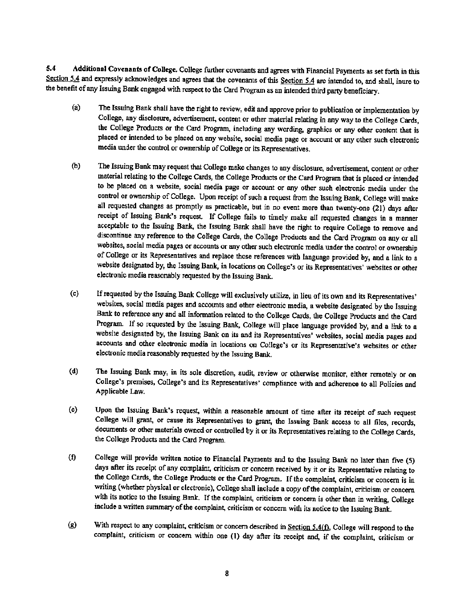5.4 Additional Covenants of College. College further covenants and agrees with Financial Payments as set forth in this Section 5.4 and expressly acknowledges and agrees that the covenants of this Section 5.4 are intended to, and shall, inure to the benefit of any Issuing Bank engaged with respect to the Card Program as an intended third party beneficiary.

- (a) The Issuing Bank shall have the right to review, edit and approve prior to publication or implementation by College, any disclosure, advertisement, content or other material relating in any way to the College Cards, the College Products or the Card Program, including any wording, graphics or any other content that is placed or intended to be placed on any website, social media page or account or any other such electronic media under the control or ownership of College or its Representatives.
- (b) The Issuing Bank may request that College make changes to any disclosure, advertisement, content or other material relating to the College Cards, the College Products or the Card Program that is placed or intended to be placed on a website, social media page or account or any other such electronic media under the control or ownership of College. Upon receipt of such a request from the Issuing Bank, College will make all requested changes as promptly as practicable, but in no event more than twenty-one (21) days after receipt of Issuing Bank's request. If College fails to timely make all requested changes in a manner acceptable to the Issuing Bank, the Issuing Bank shall have the right to require College to remove and discontinue any reference to the College Cards, the College Products and the Card Program on any or all websites, social media pages or accounts or any other such electronic media under the control or ownership of College or its Representatives and replace those references with language provided by, and a link to a website designated by, the Issuing Bank. in locations on College's or its Representatives' websites or other electronic media reasonably requested by the Issuing Bank.
- (c) If requested by the Issuing Bank College will exclusively utilize, in lieu of its own and its Representatives' websites, social media pages and accounts and other electronic media, a website designated by the Issuing Bank to reference any and all infonnation related to the College Cards, the College Products and the Card Program. If so requested by the Issuing Bank, College will place language provided by, and a link to a website designated by, the Issuing Bank on its and its Representatives' websites, social media pages and accounts and other electronic media in locations on College's or its Representative's websites or other electronic media reasonably requested by the Issuing Bank.
- (d) The Issuing Bank may, in its sole discretion, audit, review or otherwise monitor, either remotely or on College's premises, College's and its Representatives' compliance with and adherence to all Policies and Applicable Law.
- (e) Upon the Issuing Bank's request, within a reasonable amount of time after its receipt of such request College will grant, or cause its Representatives to grant, the Issuing Bank access to all files, records, documents or other materials owned or controlled by it or its Representatives relating to the College Cards, the College Products and the Card Program.
- (f) College will provide written notice to Financial Payments and to the Issuing Bank no later than five (5) days after its receipt of any complaint, criticism or concern received by it or its Representative relating to the College Cards, the College Products or the Card Program. If the complaint, criticism or concern is in writing (whether physical or electronic), College shall include a copy of the complaint, criticism or concern with its notice to the Issuing Bank. If the complaint, criticism or concern is other than in writing, College include a written summary of the complaint, criticism or concern with its notice to the Issuing Bank.
- (g) With respect to any complaint, criticism or concern described in Section  $5.4(f)$ , College will respond to the complaint, criticism or concern within one (1) day after its receipt and, if the complaint, criticism or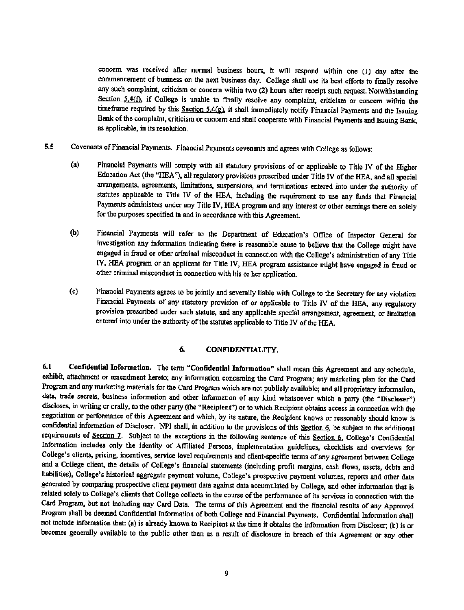concern was received after normal business hours, it will respond within one (1) day after the commencement of business on the next business day. College shall use *its* best efforts to fmally resolve any such complaint, criticism or concern within two (2) hours after receipt such request. Notwithstanding Section 5.4(f), if College is unable to finally resolve any complaint, criticism or concern within the timeframe required by this Section 5.4(g), it shall immediately notify Financial Payments and the Issuing Bank of the complaint, criticism or concern and shall cooperate with Financial Payments and Issuing Bank, as applicable, in its resolution.

- 5.5 Covenants ofFinanciaJ Payments. Financial Payments covenants and agrees with College as follows:
	- (a) Financial Payments will comply with all statutory provisions of or applicable to Title IV of the Higher Education Act (the "HEA"), all regulatory provisions prescribed under Title IV of the HEA, and all special arrangements, agreements, limitations, suspensions, and terminations entered into under the authority of statutes applicable to Title IV of the HEA, including the requirement to use any funds that Financial Payments administers under any Title IV, HEA program and any interest or other earnings there on solely for the purposes specified in and in accordance with this Agreement.
	- (b) Financial Payments will refer to the Department of Education's Office of Inspector General for investigation any information indicating there is reasonable cause to believe that the College might have engaged in fraud or other criminal misconduct in connection with the College's administration of any Title IV, HEA program or an applicant for Title IV, HEA program assistance might have engaged in fraud or other criminal misconduct in connection with his or her application.
	- (c) Financial Payments agrees to be jointly and severally liable with College to the Secretary for any violation Financial Payments of any statutory provision of or applicable to Title IV of the HEA, any regulatory provision prescribed under such statute, and any applicable special arrangement, agreement, or limitation entered into under the authority of the statutes applicable to Title IV of the HEA.

#### 6. CONFIDENTIALITY.

6.1 Confidential Information. The term "Confidential Information" shall mean this Agreement and any schedule, exhibit, attachment or amendment hereto; any information concerning the Card Program; any marketing plan for the Card Program and any marketing materials for the Card Program which are not publicly available; and all proprietary infonnation, data, trade secrets, business information and other information of any kind whatsoever wbich a party (the "Discloser") discloses, in writing or orally, to the other party (the "Recipient") or to which Recipient obtains access in connection with the negotiation or performance of this Agreement and which, by its nature, the Recipient knows or reasonably should know is confidential information of Discloser. NPI shall, in addition to the provisions of this Section 6, be subject to the additional requirements of Section 7. Subject to the exceptions in the following sentence of this Section 6, College's Confidential Information includes only the identity of Affiliated Persons, implementation guidelines, checklists and overviews for College's clients, pricing, incentives, service level requirements and client-specific terms of any agreement between College and a College client, the details of College's financial statements (including profit margins, cash flows. assets, debts and liabilities), College's historical aggregate payment volume, College's prospective payment volumes, reports and other data generated by comparing prospective client payment data against data accumulated by College. and other infonnation that is related solely to College's clients that College collects in the course of the performance of its services in connection with the Card Program, but not including any Card Data. The terms of this Agreement and the financial results of any Approved Program shall be deemed Confidential Information of both College and Financial Payments. Confidential Information shall not include information that: (a) is already known to Recipient at the time it obtains the information from Discloser; (b) is or becomes generally available to the public other than as a result of disclosure in breach of this Agreement or any other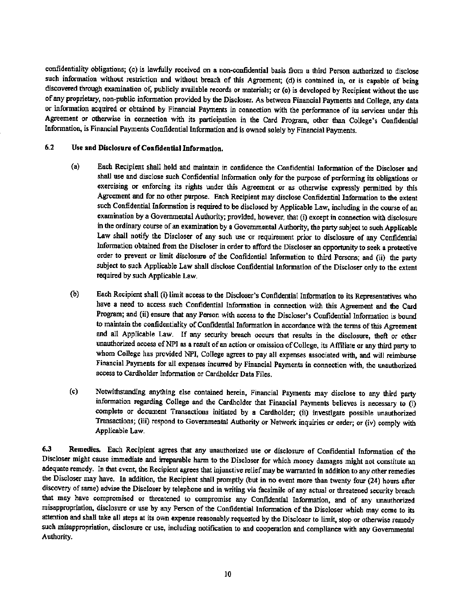confidentiality obligations; (c) is lawfully received on a non-confidential basis from a third Person authorized to disclose such information without restriction and without breach of this Agreement; (d) is contained in, or is capable of being discovered through examination of, publicly available records or materials; or (e) is developed by Recipient without the use of any proprietary, non-public infonnation provided by the Discloser. As between Financial Payments and College, any data or information acquired or obtained by Financial Payments in connection with the performance of its services under this Agreement or otherwise in connection with its participation in the Card Program, other than College's Confidential Information, is Financial Payments Confidential Information and is owned solely by Financial Payments.

#### 6.2 Use and Disclosure of Confidential Information.

- (a) Each Recipient shall hold and maintain in confidence the Confidential Information of the Discloser and shall use and disclose such Confidential Information only for the purpose of performing its obligations or exercising or enforcing its rights under this Agreement or as otherwise expressly permitted by this Agreement and for no other purpose. Each Recipient may disclose Confidential Information to the extent such Confidential Information is required to be disclosed by Applicable Law, including in the course of an examination by a Governmental Authority; provided, however, that (i) except in connection with disclosure in the ordinary course of an examination by a Governmental Authority, the party subject to such Applicable Law shall notify the Discloser of any such use or requirement prior to disclosure of any Confidential Information obtained from the Discloser in order to afford the Discloser an opportunity to seek a protective order to prevent or limit disclosure of the Confidential Information to third Persons; and (ii) the party subject to such Applicable Law shall disclose Confidential Information of the Discloser only to the extent required by such Applicable Law.
- (b) Each Recipient shall (i) limit access to the Discloser's Confidential Information to its Representatives who have a need to access such Confidential Infonnation in connection with this Agreement and the Card Program; and (ii) ensure that any Person with access to the Discloser's Confidential Information is bound to maintain the confidentiality of Confidential Information in accordance with the terms of this Agreement and all Applicable Law. If any security breach occurs that results in the disclosure, theft or other unauthorized access ofNPl as a result of an action or omission of College, its Affiliate or any third party to whom College has provided NPl, College agrees to pay all expenses associated with, and will reimburse Financial Payments for all expenses incurred by Financial Payments in connection with, the unauthorized access to cardholder Information or Cardholder Data Files.
- (c) Notwithstanding anything else contained herein, Financial Payments may disclose to any third party information regarding College and the Cardholder that Financial Payments believes is necessary to (i) complete or document Transactions initiated by a Cardholder; (ii) investigate possible unauthorized Tmnsactions; (iii) respond to Governmental Authority or Network inquiries or order; or (iv) comply with Applicable Law.

6.3 Remedies. Each Recipient agrees that any unauthorized use or disclosure of Confidential Information of the Discloser might cause immediate and irreparable harm to the Discloser for which money damages might not constitute an adequate remedy. In that event, the Recipient agrees that injunctive relief may be warranted in addition to any other remedies the Discloser may have. In addition, the Recipient shall promptly (but in no event more than twenty four (24) hours after discovery of same) advise the Discloser by telephone and in writing via facsimile of any actual or threatened security breach that may have compromised or threatened to compromise any Confidential Information, and of any unauthorized misappropriation, disclosure or use by any Person of the Confidential Information of the Discloser which may come to its attention and shall take all steps at its own expense reasonably requested by the Discloser to limit, stop or otherwise remedy such misappropriation, disclosure or use, including notification to and cooperation and compliance with any Governmental Authority.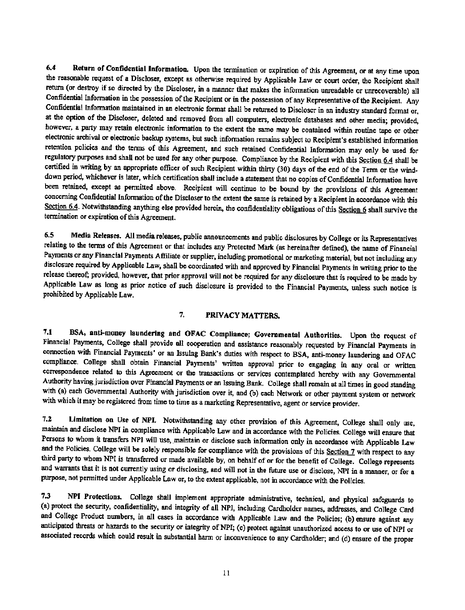6.4 Return of Confidential Information. Upon the termination or expiration of this Agreement, or at any time upon the reasonable request of a Discloser, except as otherwise required by Applicable Law or court order, the Recipient shall return (or destroy if so directed by the Discloser, in a manner that makes the infonnation unreadable or unrecoverable) all Confidential Information in the possession of the Recipient or in the possession of any Representative of the Recipient. Any Confidential Information maintained in an electronic format shall be returned to Discloser in an industry standard format or, at the option of the Discloser, deleted and removed from all computers, electronic databases and other media; provided, however, a party may retain electronic information to the extent the same may be contained within routine tape or other electronic archival or electronic backup systems, but such information remains subject to Recipient's established information retention policies and the terms of this Agreement, and such retained Confidential Information may only be used for regulatory purposes and shall oot be used for any other purpose. Compliance by the Recipient with this Section 6.4 shall be certified in writing by an appropriate officer of such Recipient within thirty (30) days of the end of the Term or the wind. down period, whichever is later, which certification shall include a statement that no copies of Confidential Information have been retained, except as permitted above. Recipient will continue to be bound by the provisions of this Agreement concerning Confidential Information of the Discloser to the extent the same is retained by a Recipient in accordance with this Section 6.4. Notwithstanding anything else provided herein, the confidentiality obligations of this Section 6 shall survive the termination or expiration of this Agreement.

6.5 Media Releases. All media releases, public announcements and public disclosures by College or its Representatives relating to the tenns of this Agreement or that includes any Protected Mark (as hereinafter defmed), the name of Financial Payments or any Financial Payments Affiliate or supplier, including promotional or marketing material, but not including any disclosure required by Applicable Law, shall be coordinated with and approved by Financial Paymeots in writing prior to the release thereof; provided, however, that prior approval will not be required for any disclosure that is required to be made by Applicable Law as long as prior notice of such disclosure *is* provided to the Financia! Payments, unless such notice is prohibited by Applicable Law.

#### 7. PRIVACY MATTERS.

7.1 BSA, anti-money laundering and OFAC Compliance; Governmental Authorities. Upon the request of Financial Payments, College shall provide all cooperation and assistance reasonably requested by Financial Payments in connection with Financial Payments' or an Issuing Bank's duties with respect to BSA, anti-money laundering and OFAC compliance. College shall obtain Financial Payments' written approval prior to engaging in any oral or written correspondence related to this Agreement or the transactions or services contemplated hereby with any Governmental Authority having jurisdiction over Financial Payments or an Issuing Bank. College shall remain at all times in good standing with (a) each Governmental Authority with jurisdiction over it, and (b) each Network or other payment system or network with which it may be registered from time to time as a marketing Representative, agent or service provider.

7.2 Limitation on Use of NPI. Notwithstanding any other provision of this Agreement, College shall only use, maintain and disclose NPI in compliance with Applicable Law and in accordance with the Policies. College will ensure that Persons to whom it transfers NPI will use, maintain or disclose such information only in accordance with Applicable Law and the Policies. College will be solely responsible for compliance with the provisions of this Section 7 with respect to any third party to whom NPI *is* transferred or made available by, on behalf of or for the benefit of College. College represents and warrants that it is not currently using or disclosing, and will not in the future use or disclose, NPI in a manner, or for a purpose, not pennitted under Applicable Law or, to the extent applicable, not in accordance with the Policies.

7.3 NPI Protections. College shall implement appropriate administrative, technical, and physical safeguards to (a) protect the security, confidentiality, and integrity of all *NPl,* including Cardholder names, addresses, and College Card and College Product numbers, in all cases in accordance with Applicable Law and the Policies; (b) ensure against any anticipated threats or hazards to the security or integrity of NPI; (c) protect against unauthorized access to or use of NPI or associated records which could result in substantial harm or inconvenience to any Cardholder; and (d) ensure of the proper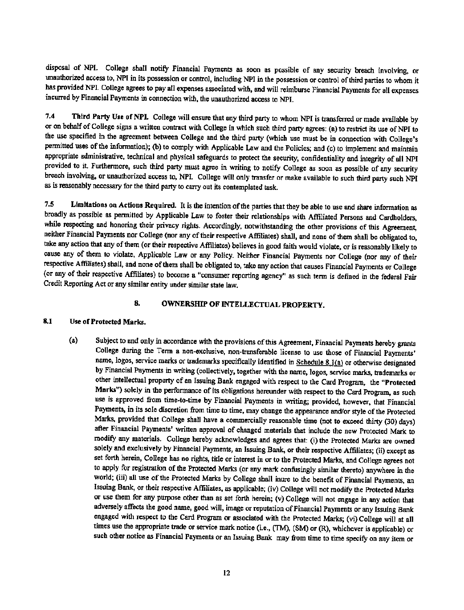disposal of NPI. College shall notify Financial Payments as soon as possible of any security breach involving, or unauthorized access to, NPI in its possession or control, including NFl in the possession or control of third parties to whom it has provided NPI. College agrees to pay all expenses associated with, and will reimburse Financial Payments for all expenses incurred by Financial Payments in connection with, the unauthorized access to NPl.

7.4 Third Party Use of NPI. College will ensure that any third party to whom NFl is transferred or made available by or on behalf of College signs a written contract with College in which such third party agrees: (a) to restrict its use of NPI to the use specified in the agreement between College and the third party (which use must be in connection with College's permitted uses of the infonnation); (b) to comply with Applicable Law and the Policies; and (c) to implement and maintain appropriate administrative, teclmical and physical safeguards to protect the security, confidentiality and integrity of all NPI provided to it Furthermore, such third party must agree in writing to notify College as soon as possible of any security breach involving. or unauthorized access to, NFL College will only transfer or make available to such third party such NPI as is reasonably necessary for the third party to carry out its contemplated task.

7.5 Limitations on Actions Required. It is the intention of the parties that they be able to use and share information as broadly as possible as pennitted by Applicable Law to foster their relationships with Affiliated Persons and Cardholders, while respecting and honoring their privacy rights. Accordingly, notwithstanding the other provisions of this Agreement, neither Financial Payments nor College (nor any of their respective Affiliates) shall, and none of them shall be obligated to, take any action that any of them (or their respective Affiliates) believes in good faith would violate, or is reasonably likely to cause any of them to violate, Applicable Law or any Policy. Neither Financial Payments nor College (nor any of their respective Affiliates) shall, and none of them shall be obligated to, take any action that causes Financial Payments or College (or any of their respective Affiliates) to become a "consumer reporting agency" as such tenn is defined in the federal Fair Credit Reporting Act or any similar entity under similar state law.

#### 8. OWNERSHIP OF INTELLECTUAL PROPERTY.

#### 8.1 Use of Protected Marks.

(a) Subject to and only in accordance with the provisions of this Agreement, Financial Payments hereby grants College during the Tenn a non-exclusive, non-transferable license to use those of Financial Payments' name, logos, service marks or trademarks specifically identified in Schedule 8.1(a) or otherwise designated by Financial Payments in writing (collectively, together with the name, logos, service marks, trademarks or other intellectual property of an Issuing Bank engaged with respect to the Card Program, the "Protected Marks") solely in the performance of its obligations hereunder with respect to the Card Program, as such use is approved from time-to-time by Financial Payments in writing; provided, however, that Financial Payments, in its sole discretion from time to time, may change the appearance and/or style of the Protected Marks, provided that College shall have a commercially reasonable time (not to exceed thirty (30) days) after Financial Payments' written approval of changed materials that include the new Protected Mark to modify any materials. College hereby acknowledges and agrees that: (i) the Protected Marks are owned solely and exclusively by Financial Payments, an Issuing Bank, or their respective Affiliates; (ii) except as set forth herein, College has no rights, tide or interest in or to the Protected Marks, and College agrees not to apply for registration of the Protected Marks (or any mark confusingly similar thereto) anywhere in the world; (iii) all use of the Protected Marks by College shall inure to the benefit of Financial Payments, an Issuing Bank, or their respective Affiliates, as applicable; (iv) College will not modify the Protected Marks or use them for any purpose other than as set forth herein; (v) College will not engage in any action that adversely affects the good name, good will, image or reputation of Financial Payments or any Issuing Bank engaged with respect to the Card Program or associated with the Protected Marks; (vi) College will at all times use the appropriate trade or service mark notice (Le., (TM), (8M) or (R), whichever is applicable) or such other notice as Financial Payments or an Issuing Bank may from time to time specify on any item or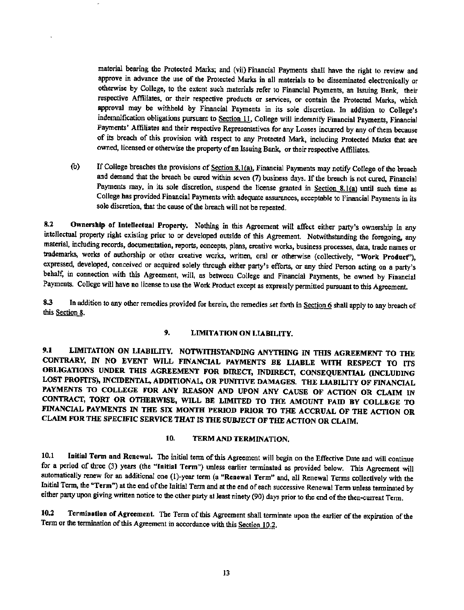material bearing the Protected Marks; and (vii) Financial Payments shall have the right to review and approve in advance the use of the Protected Marks in all materials to be disseminated electronically or otherwise by College, to the extent such materials refer to Financial Payments, an Issuing Bank, their respective Affiliates. or their respective products or services, or contain the Protected Marks, which approval may be withheld by Financial Payments in its sale discretion. In addition to College's indemnification obligations pursuant to Section 11. College will indemnify Financial Payments, Financial Payments' Affiliates and their respective Representatives for any Losses incurred by any of them because of its breach of this provision with respect to any Protected Mark, including Protected Marks that are owned, licensed or otherwise the property of an Issuing Bank, or their respective Affiliates.

(b) If College breaches the provisions of Section 8.1(a), Financial Payments may notify College of the breach and demand that the breach be cured within seven (7) business days. If the breach is not cured. Financial Payments may, in its sole discretion, suspend the license granted in Section 8.1(a) until such time as College has provided Financial Payments with adequate assurances, acceptable to Financial Payments in its sale discretion, that the cause of the breach will not be repeated.

8.2 Ownership of Intellectual Property. Nothing in this Agreement will affect either party's ownership in any intellectual property right existing prior to or developed outside of this Agreement. Notwithstanding the foregoing, any material, including records, documentation, reports, concepts, plans, creative works, business processes, data, trade names or trademarks, works of authorship or other creative works, written, oral or otherwise (collectively, "Work Product'), expressed, developed, conceived or acquired solely through either party's efforts, or any third Person acting on a party's behalf; in connection with this Agreement, will, as between College and Financial Payments, be owned by Financial Payments. College will have no license to use the Work Product except as expressly permitted pursuant to this Agreement

8.3 In addition to any other remedies provided for herein, the remedies set forth in Section 6 shall apply to any breach of this Section 8.

## 9. LIMITATION ON LIABILITY.

9.1 LIMITATION ON LIABILITY. NOTWITHSTANDING ANYTHING IN THIS AGREEMENT TO THE CONTRARY, IN NO EVENT WILL FINANCIAL PAYMENTS BE LIABLE WITH RESPECT TO ITS OBLIGATIONS UNDER THIS AGREEMENT FOR DIRECT, INDIRECT, CONSEQUENTIAL (INCLUDING LOST PROFITS), INCIDENTAL, ADDITIONAL, OR PUNITIVE DAMAGES. THE LIABILITY OF FINANCIAL PAYMENTS TO COLLEGE FOR ANY REASON AND UPON ANY CAUSE OF ACTION OR CLAIM IN CONTRACT, TORT OR OTHERWISE, WILL BE LIMITED TO THE AMOUNT PAID BY COLLEGE TO FINANCIAL PAYMENTS IN THE SIX MONTH PERIOD PRIOR TO THE ACCRUAL OF THE ACTION OR CLAIM FOR THE SPECIFIC SERVICE THAT IS THE SUBJECT OF THE ACTION OR CLAIM.

## 10. TERM AND TERMINATION,

10,1 Initial Term and Renewal. The initial term of this Agreement will begin on the Effective Date and will continue for a period of three (3) years (the "Initial Term") unless earlier terminated as provided below. This Agreement will automatically renew for an additional one (1)-year term (a "Renewal Term" and, all Renewal Terms collectively with the Initial Term, the "Term") at the end of the Initial Tenn and at the end of each successive Renewal Tenn unless tenninated by either party upon giving written notice to the other party at least ninety (90) days prior to the end of the then-current Term.

10.2 Termination of Agreement. The Term of this Agreement shall tenninate upon the earlier of the expiration of the Tenn or the termination of this Agreement in accordance with this Section 10.2.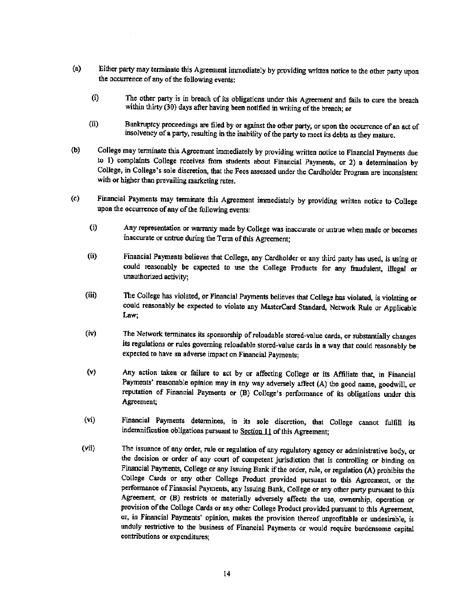- (a) Either party may terminate this Agreement immediately by providing written notice to the other party upon the occurrence of any of the following events:
	- (i) The other party is in breach of its obligations under this Agreement and fails to cure the breach within thirty (30) days after having been notified in writing of the breach; or
	- (ii) Bankruptcy proceedings are filed by or against the other party, or upon the occurrence of an act of insolvency of a party, resulting in the inability of the party to meet its debts as they mature.
- (b) College may terminate this Agreement immediately by providing written notice to Financial Payments due to 1) complaints College receives from students about Financial Payments, or 2) a detennination by College, in College's sole discretion, that the Fees assessed under the Cardholder Program are inconsistent with or higher than prevailing marketing rates.
- (c) Financial Payments may tenninate this Agreement immediately by providing written notice to College upon the occurrence of any of the following events:
	- (i) Any representation or warranty made by College was inaccurate or untrue when made or becomes inaccurate or untrue during the Term of this Agreement;
	- (ii) Financial Payments believes that College, any Cardholder or any third party has used, is using or could reasonably be expected to use the College Products for any fraudulent, illegal or unauthorized activity;
	- (iii) The College has violated, or Financial Payments believes that College has violated, is violating or could reasonably be expected to violate any MasterCard Standard, Network Rule or Applicable Law;
	- (iv) The Network tenninates its sponsorship ofreloadable stored-value cards, or substantially changes its regulations or rules governing reloadable stored-value cards in a way that could reasonably be expected to have an adverse impact on Financial Payments;
	- (v) Any action taken or failure to act by or affecting College or its Affiliate that, in Financial Payments' reasonable opinion may in any way adversely affect (A) the good name, goodwill, or reputation of Financial Payments or (B) College's performance of its obligations under this Agreement;
	- (vi) Financial Payments determines, in its sole discretion, that College cannot fulfill its indemnification obligations pursuant to Section **II** of this Agreement;
	- (vii) The issuance of any order, rule or regulation of any regulatory agency or administrative body, or the decision or order of any court of competent jurisdiction that is controlling or binding on Financial Payments, College or any Issuing Bank if the order, rule, or regulation (A) prohibits the College Cards or any other College Product provided pursuant to this Agreement, or the performance of Financial Payments, any Issuing Bank, College or any other party pursuant to this Agreement, or (B) restricts or materially adversely affects the use, ownership, operation or provision of the College Cards or any other College Product provided pursuant to this Agreement, or, in Financial Payments' opinion, makes the provision thereof unprofitable or undesirable, is unduly restrictive to the business of Financial Payments or would require burdensome capital contributions or expenditures;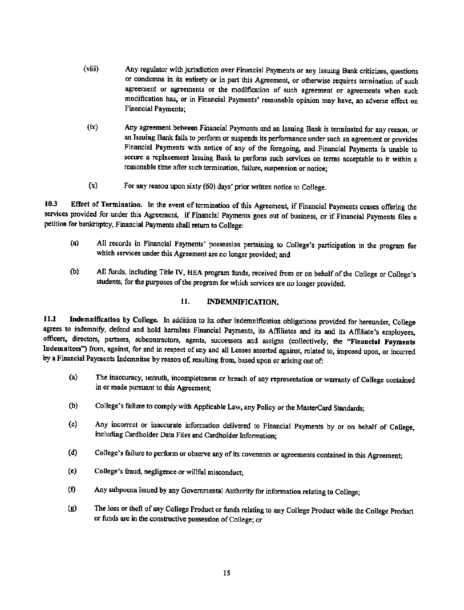- (viii) Any regulator with jurisdiction over Financial Payments or any Issuing Bank criticizes, questions or condemns in its entirety or in part this Agreement, or otherwise requires tennination of such agreement or agreements or the modification of such agreement or agreements when such modification has, or in Financial Payments' reasonable opinion may have, an adverse effect on Financial Payments;
- (ix) Any agreement between Financial Payments and an Issuing Bank is terminated for any reason, or an Issuing Bank fails to perfonn or suspends its performance under such an agreement or provides Financial Payments with notice of any of the foregoing, and Financial Payments is unable to secure a replacement Issuing Bank to perfonn such services on tenns acceptable to it within a reasonable time after such termination, failure, suspension or notice;
- (x) For any reason upon sixty (60) days' prior written notice to College.

10.3 Effect of Termination. In the event of termination of this Agreement, if Financial Payments ceases offering the services provided for under this Agreement, if Financial Payments goes out of business, or if Financial Payments files a petition for bankruptcy, Financial Payments shall retwn to College:

- (a) All records in Financial Payments' possession pertaining to College's participation in the program for which services under this Agreement are no longer provided; and
- (b) All funds, including Title IV, HEA program funds, received from or on behalf of the College or College's students, for the purposes of the program for which services are no longer provided.

#### 11. INDEMNIFICATION.

11.1 Indemnification by College. In addition to its other indemnification obligations provided for hereunder, College agrees to indemnify, defend and hold harmless Financial Payments, its Affiliates and its and its Affiliate's employees, officers, directors, partners, subcontractors, agents, successors and assigns (collectively, the "Financial Payments Indemnitees") from, against, for and in respect of any and all Losses asserted against, related to, imposed upon, or incurred by a Financial Payments Indemnitee by reason of, resulting from, based upon or arising out of:

- (a) The inaccuracy, untruth, incompleteness or breach of any representation or warranty of College contained in or made pursuant to this Agreement;
- (b) College's failure to comply with Applicable Law, any Policy or the MasterCard Standards;
- (c) Any incorrect or inaccurate information delivered to Financial Payments by or on behalf of College, including Cardholder Data Files and Cardholder Information;
- (d) College's failure to perform or observe any of its covenants or agreements contained in this Agreement;
- (e) College's fraud, negligence or willful misconduct;
- (f) Any subpoena issued by any Governmental Authority for information relating to College;
- (g) The loss or theft of any College Product or funds relating to any College Product while the College Product or funds are in the constructive possession of College; or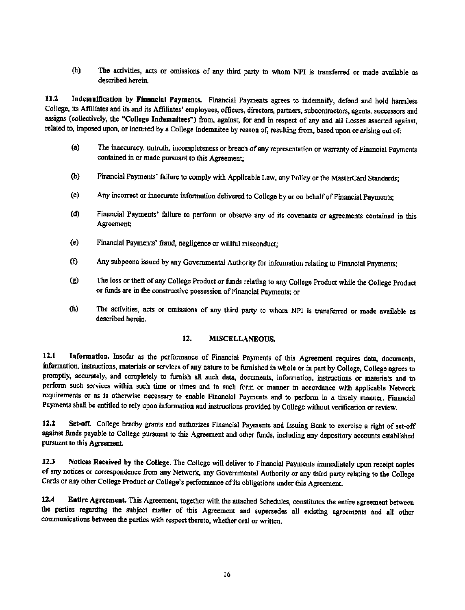(h) The activities, acts or omissions of any third party to whom NPI is transferred or made available as described herein,

11.2 Indemnification by Financial Payments. Financial Payments agrees to indemnify, defend and hold harmless College, its Affiliates and its and its Affiliates' employees, officers, directors, partners, subcontractors, agents, successors and assigns (collectively, the "College Indemnltees") from, against, for and in respect of any and all Losses asserted against, related to, imposed upon, or incurred by a College Indemnitee by reason of, resulting from, based upon or arising out of:

- (a) The inaccuracy, untruth, incompleteness or breach of any representation or warranty of Financial Payments contained in or made pursuant to this Agreement;
- (b) Financial Payments' failure to comply with Applicable Law, any Policy or the MasterCard Standards;
- (c) Any incorrect or inaccurate infonnation delivered to College by or on behalf of Financial Payments;
- (d) Financial Payments' failure to perfonn or observe any of its covenants or agreements contained in this Agreement;
- (e) Financial Payments' fraud. negligence or willful misconduct;
- (f) Any subpoena issued by any Governmental Authority for infonnation relating to Financial Payments;
- (g) The loss or theft of any College Product or funds relating to any College Product while the College Product or funds are in the constructive possession of Financial Payments; or
- (h) The activities, acts or omissions of any third party to whom *NPI* is transferred or made available as described herein.

#### 12. MISCELLANEOUS.

12.1 information. Insofar as the performance of Financial Payments of this Agreement requires data, documents, information. instructions, materials or services of any nature to be furnished in whole or in part by College, College agrees to promptly, accurately, and completely to furnish all such data, documents, information, instructions or materials and to perform such services within such time or times and in such fonn or manner in accordance with applicable Network requirements *OT* as is otherwise necessary to enable Financial Payments and to perform in a timely manner. Financial Payments shall be entitled to rely upon information and instructions provided by College without verification or review.

12.2 Set-off. College hereby grants and authorizes Financial Payments and Issuing Bank to exercise a right of set-off against funds payable to College pursuant to this Agreement and other funds, including any depository accounts established pursuant to this Agreement

12.3 Notices Received by the College. The College will deliver to Financial Payments immediately upon receipt copies of any notices or correspondence from any Network, any Governmental Authority or any third party relating to the College Cards or any other College Product or College's perfonnance of its obligations under this Agreement.

12.4 Entire Agreement. This Agreement, together with the attached Schedules, constitutes the entire agreement between the parties regarding the subject matter of this Agreement and supersedes all existing agreements and all other commwrications between the parties with respect thereto, whether oral or written.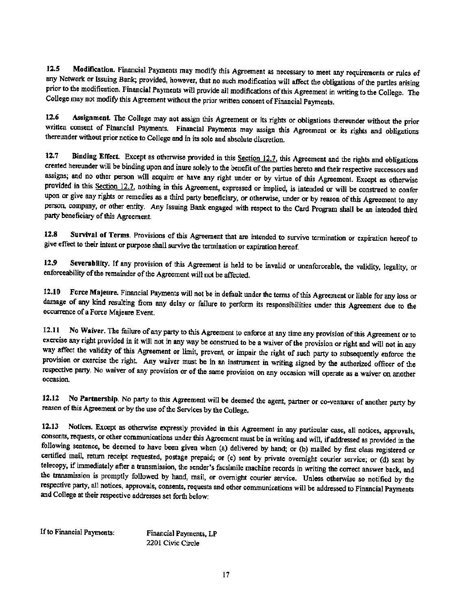12.5 Modification. Financial Payments may modify this Agreement as necessary to meet any requirements or rules of any Network or Issuing Bank; provided, however, that no such modification will affect the obligations of the parties arising prior to the modification. Financial Payments will provide all modifications of this Agreement in writing to the College. The College may not modify this Agreement without the prior written consent of Financial Payments.

12.6 Assignment The College may not assign this Agreement or its rights or obligations thereunder without the prior written consent of Financial Payments. Financial Payments may assign this Agreement or its rights and obligations thereunder without prior notice to College and in its sole and absolute discretion.

12.7 Binding Effect. Except as otherwise provided in this Section 12.7, this Agreement and the rights and obligations created hereunder will be binding upon and inure solely to the benefit of the parties hereto and their respective successors and assigns; and no other person will acquire or have any right under or by virtue of this Agreement. Except as otherwise provided in this Section 12.7, nothing in this Agreement, expressed or implied, is intended or will be construed to confer upon or give any rights or remedies as a third party beneficiary. or otherwise, under or by reason of this Agreement to any person, company, or other entity. Any Issuing Bank engaged with respect to the Card Program shall be an intended third party beneficiary of this Agreement.

12.8 Survival of Terms. Provisions of this Agreement that are intended to survive termination or expiration hereof to give effect to their intent or purpose shall survive the termination or expiration hereof.

12.9 Severability. If any provision of this Agreement is held to be invalid or unenforceable, the validity, legality, or enforceability of the remainder of the Agreement will not be affected.

12.10 Force Majeure. Financial Payments will not be in default under the terms of this Agreement or liable for any loss or damage of any kind resulting from any delay or failure to perfonn its responsibilities under this Agreement due to the occurrence of a Force Majeure Event.

12.11 No Waiver. The failure of any party to this Agreement to enforce at any time any provision of this Agreement orto exercise any right provided in it will not in any way be construed to be a waiver of the provision or right and will not in any way affect the validity of this Agreement or limit, prevent, or impair the right of such party to subsequently enforce the provision or exercise the right. Any waiver must be in an instrument in writing signed by the authorized officer of the respective party. No waiver of any provision or of the same provision on any occasion will operate as a waiver on another occasion.

12.12 No Partnership. No party to this Agreement will be deemed the agent. partner or co-venturer of another party by reason of this Agreement or by the use of the Services by the College.

12.13 Notices. Except as otherwise expressly provided in this Agreement in any particular case, all notices, approvals, consents, requests, or other communications under this Agreement must be in writing and will, if addressed as provided in the following sentence, be deemed to have been given when (a) delivered by hand; or (b) mailed by first class registered or certified mail, return receipt requested, postage prepaid; or (c) sent by private overnight courier service; or (d) sent by telecopy, if immediately after a transmission. the sender's facsimile machine records in writing the correct answer back, and the transmission is promptly followed by hand, mail, or overnight courier service. Unless otherwise so notified by the respective party, all notices, approvals, consents, requests and other communications will be addressed to Financial Payments and College at their respective addresses set forth below:

If to Financial Payments: Financial Payments, LP

2201 Civic Circle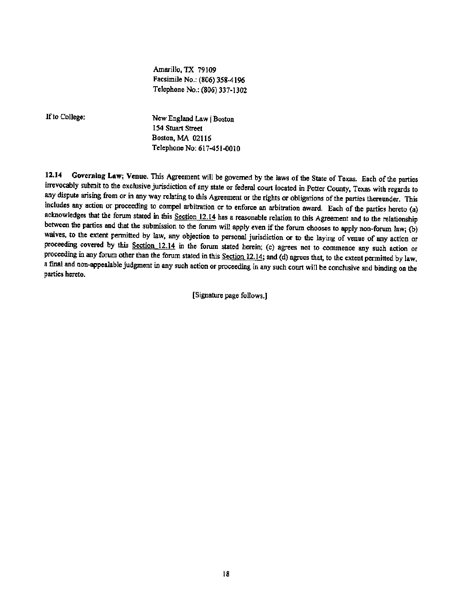Amarillo, TX 79109 Facsimile No.: (806) 358-4196 Telephone No.: (806) 337-1302

If to College:

New England Law | Boston 154 Stuart Street Boston, MA 02116 Telephone No: 617451-0010

12.14 Governing Law; Venue. This Agreement will be governed by the laws of the State of Texas. Each of the parties irrevocably submit to the exclusive jurisdiction of any state or federal court located in Potter County, Texas with regards to any dispute arising from or in any way relating to this Agreement or the rights or obligations of the parties thereunder. This includes any action or proceeding to compel arbitration or to enforce an arbitration award. Each of the parties hereto (a) acknowledges that the forum stated in this Section 12.14 has a reasonable relation to this Agreement and to the relationship between the parties and that the submission to the forum will apply even if the forum chooses to apply non.forum law; (b) waives, to the extent permitted by law, any objection to personal jurisdiction or to the laying of venue of any action or proceeding covered by this Section 12.14 in the forum stated herein; (c) agrees not to commence any such action or proceeding in any forum other than the forum stated in this Section 12.14; and (d) agrees that, to the extent permitted by law, a final and oon-appealable judgment in any such action or proceeding in any such court will be conclusive and binding on the parties hereto.

[Signature page follows.]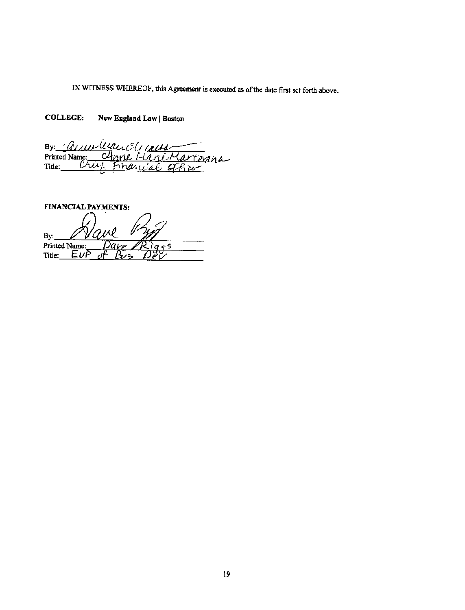IN WITNESS WHEREOF, this Agreement is executed as of the date first set forth above.

COLLEGE: New England Law | Boston

By Cumble Printed Name: Mna Title: Crit Financ سمعة أتججج 'n V

FlNANCIALPAYMENTS:  $By:$ Printed Name: ς c  $EvF$ Title: Bve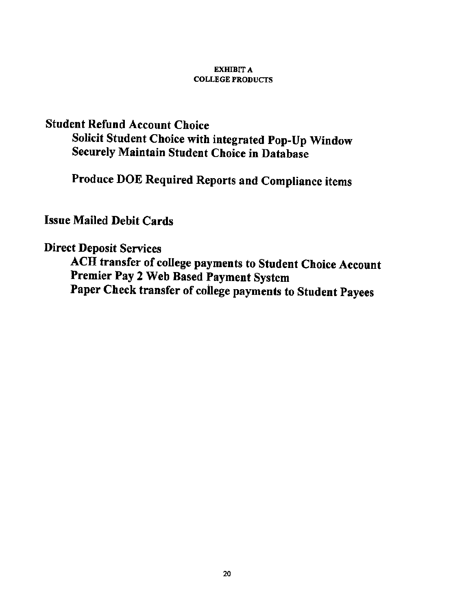# **EXHIBIT A COLLEGE PRODUCTS**

# Student Refund Account Choice

Solicit Student Choice with integrated Pop-Up Window Securely Maintain Student Choice in Database

Produce DOE Required Reports and Compliance items

# Issue Mailed Debit Cards

# Direct Deposit Services

ACH transfer of college payments to Student Choice Account Premier Pay 2 Web Based Payment System Paper Check transfer of college payments to Student Payees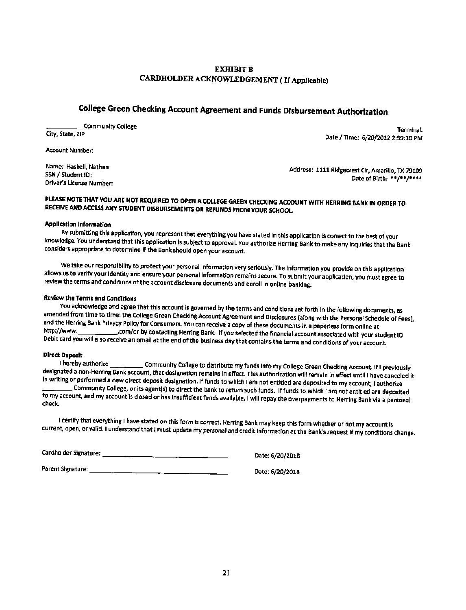# EXHIBIT B CARDHOLDER ACKNOWLEDGEMENT ( If Applicable)

# College Green Checking Account Agreement and Funds Disbursement Authorization

\_\_\_\_\_ COmmunlty COllege

City. State, ZIP

Account Number:

Name; Haskell. Nathan SSN/ Student 10: Driver's license Number:

Terminal: Date / Time: 6/20/2012 2:59:10 PM

Address: 1111 Ridgecrest Cir, Amarillo, TX 79109 Date of Birth; \*\* /\*\* /\*\*\*\*

# PLEASE NOTE THAT YOU ARE NOT REQUIRED TO OPEN A COLLEGE GREEN CHECKING ACCOUNT WITH HERRING BANK IN ORDER TO RECEIVE AND ACCESSANY STUDENT DISBURSEMENTS OR REFUNDS FROM YOUR SCHOOL.

#### Application Information

By submitting this application, you represent that everything you have stated in this application is correct to the best of your knowledge. You understand that this application is subject to approval. You authorize Herring Bank to make any inquiries that the Bank considers appropriate to determine If the Bank should open your account.

We take our responsibility to protect your personal Information very serIously. The Information you provide on this application allows us to verify your Identity and ensure your personal information remains secure. To submit your application, you must agree to review the terms and conditions of the account disclosure documents and enroll in online banking.

#### Revlewthe Terms and COnditions

You acknowledge and agree that this account is governed by the terms and conditions set forth in the following documents, as amended from time to time: the College Green Checking Account Agreement and Disclosures (along with the Personal Schedule of Fees), and the Herring Bank Privacy Policy for Consumers. You can receive a copy of these documents in a paperless form online at http://www. <http://WWW..com/or> by contactIng Herring Bank. If you selected *the* financial account associated with your student 10 Debit card you will also receive an email at the end of the business day that contains the terms and conditions of your account.

#### Olrect Deposit

I hereby authorize \_\_\_\_\_\_\_\_\_\_\_\_Community College to distribute my funds Into my College Green Checking Account. If I previously designated a non-Herring Bank account, that designation remains in effect. This authorization will remain in effect until I have canceled it In wrIting or performed a new direct deposit designation. If funds to which I am not entitled are deposlted to my account, I authorize \_\_\_\_ CommunIty College, or Its agent(s) to direct the bank to retum such funds. If funds to which I am not entitled are deposited to my account, and my account Is closed or has insufficient funds available, I will repay the overpayments to Herring Bank via a personal check.

I certify that everything I have stated on this form Is correct. HerrIng Bank may keep this form whether or not my account is current, open, or valid. I understand that I must update my personal and credit Information at the Bank's request If my conditions change.

cardholder Signature: \_

Parent Signature: \_\_\_\_\_\_\_\_\_\_\_\_\_\_\_\_\_

Date: 6/20/2018

Date: 6/20/2018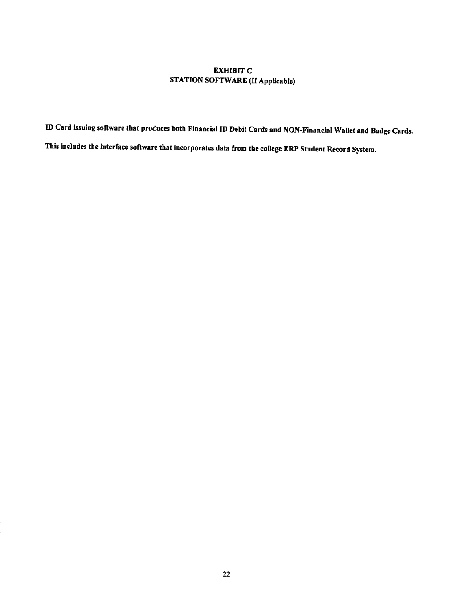# EXHIBIT<sub>C</sub> STATION SOFTWARE (If Applicable)

ID Card issuing software that produces both Financial ID Debit Cards and NON-Financial Wallet and Badge Cards.

This Includes tbe Interface software that incorporates data from the college ERP Student Record System.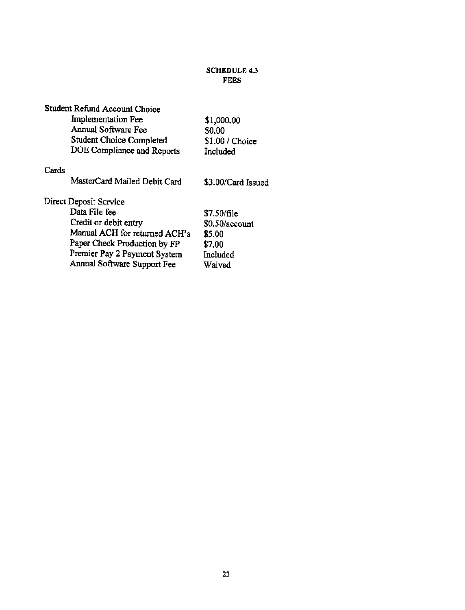## SCHEDULE 4.3 FEES

| Student Refund Account Choice   |                    |
|---------------------------------|--------------------|
| Implementation Fee              | \$1,000.00         |
| Annual Software Fee             | \$0.00             |
| <b>Student Choice Completed</b> | \$1.00 / Choice    |
| DOE Compliance and Reports      | Included           |
| Cards                           |                    |
| MasterCard Mailed Debit Card    | \$3.00/Card Issued |
| Direct Deposit Service          |                    |
| Data File fee                   | \$7.50/file        |
| Credit or debit entry           | \$0.50/account     |
| Manual ACH for returned ACH's   | \$5.00             |
| Paper Check Production by FP    | \$7.00             |
| Premier Pay 2 Payment System    | Included           |
| Annual Software Support Fee     | Waived             |
|                                 |                    |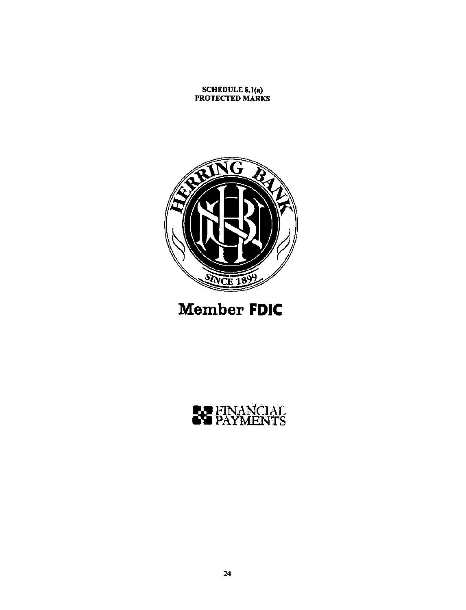#### SCHEDULE 8.1(0) **PROTECTED MARKS**



# **Member FDIC**